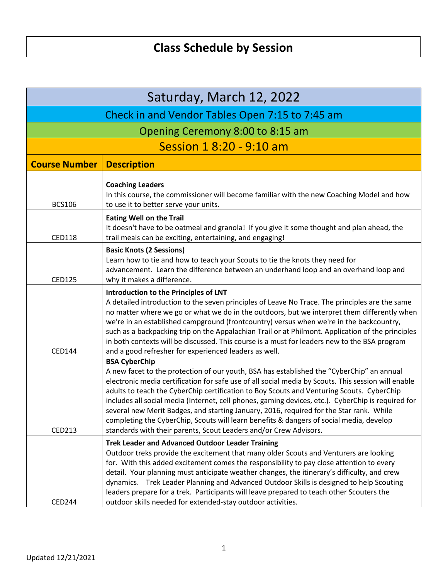| Saturday, March 12, 2022                        |                                                                                                                                                                                                                                                                                                                                                                                                                                                                                                                                                                                                                                                                                        |  |
|-------------------------------------------------|----------------------------------------------------------------------------------------------------------------------------------------------------------------------------------------------------------------------------------------------------------------------------------------------------------------------------------------------------------------------------------------------------------------------------------------------------------------------------------------------------------------------------------------------------------------------------------------------------------------------------------------------------------------------------------------|--|
| Check in and Vendor Tables Open 7:15 to 7:45 am |                                                                                                                                                                                                                                                                                                                                                                                                                                                                                                                                                                                                                                                                                        |  |
| Opening Ceremony 8:00 to 8:15 am                |                                                                                                                                                                                                                                                                                                                                                                                                                                                                                                                                                                                                                                                                                        |  |
|                                                 | Session 1 8:20 - 9:10 am                                                                                                                                                                                                                                                                                                                                                                                                                                                                                                                                                                                                                                                               |  |
| <b>Course Number</b>                            | <b>Description</b>                                                                                                                                                                                                                                                                                                                                                                                                                                                                                                                                                                                                                                                                     |  |
| <b>BCS106</b>                                   | <b>Coaching Leaders</b><br>In this course, the commissioner will become familiar with the new Coaching Model and how<br>to use it to better serve your units.                                                                                                                                                                                                                                                                                                                                                                                                                                                                                                                          |  |
| <b>CED118</b>                                   | <b>Eating Well on the Trail</b><br>It doesn't have to be oatmeal and granola! If you give it some thought and plan ahead, the<br>trail meals can be exciting, entertaining, and engaging!                                                                                                                                                                                                                                                                                                                                                                                                                                                                                              |  |
| <b>CED125</b>                                   | <b>Basic Knots (2 Sessions)</b><br>Learn how to tie and how to teach your Scouts to tie the knots they need for<br>advancement. Learn the difference between an underhand loop and an overhand loop and<br>why it makes a difference.                                                                                                                                                                                                                                                                                                                                                                                                                                                  |  |
| CED144                                          | Introduction to the Principles of LNT<br>A detailed introduction to the seven principles of Leave No Trace. The principles are the same<br>no matter where we go or what we do in the outdoors, but we interpret them differently when<br>we're in an established campground (frontcountry) versus when we're in the backcountry,<br>such as a backpacking trip on the Appalachian Trail or at Philmont. Application of the principles<br>in both contexts will be discussed. This course is a must for leaders new to the BSA program<br>and a good refresher for experienced leaders as well.                                                                                        |  |
| CED213                                          | <b>BSA CyberChip</b><br>A new facet to the protection of our youth, BSA has established the "CyberChip" an annual<br>electronic media certification for safe use of all social media by Scouts. This session will enable<br>adults to teach the CyberChip certification to Boy Scouts and Venturing Scouts. CyberChip<br>includes all social media (Internet, cell phones, gaming devices, etc.). CyberChip is required for<br>several new Merit Badges, and starting January, 2016, required for the Star rank. While<br>completing the CyberChip, Scouts will learn benefits & dangers of social media, develop<br>standards with their parents, Scout Leaders and/or Crew Advisors. |  |
| <b>CED244</b>                                   | <b>Trek Leader and Advanced Outdoor Leader Training</b><br>Outdoor treks provide the excitement that many older Scouts and Venturers are looking<br>for. With this added excitement comes the responsibility to pay close attention to every<br>detail. Your planning must anticipate weather changes, the itinerary's difficulty, and crew<br>dynamics. Trek Leader Planning and Advanced Outdoor Skills is designed to help Scouting<br>leaders prepare for a trek. Participants will leave prepared to teach other Scouters the<br>outdoor skills needed for extended-stay outdoor activities.                                                                                      |  |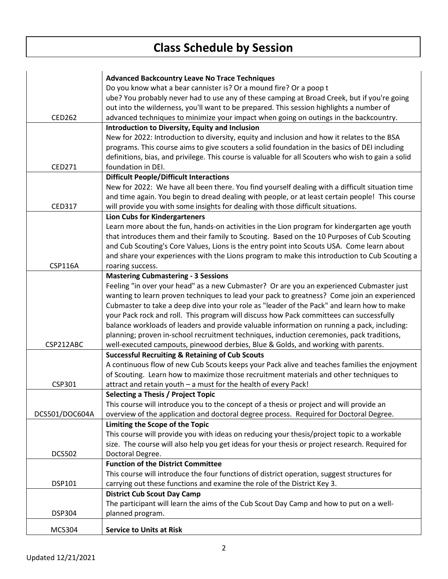l,

|                | <b>Advanced Backcountry Leave No Trace Techniques</b>                                               |
|----------------|-----------------------------------------------------------------------------------------------------|
|                | Do you know what a bear cannister is? Or a mound fire? Or a poop t                                  |
|                | ube? You probably never had to use any of these camping at Broad Creek, but if you're going         |
|                | out into the wilderness, you'll want to be prepared. This session highlights a number of            |
| <b>CED262</b>  | advanced techniques to minimize your impact when going on outings in the backcountry.               |
|                | <b>Introduction to Diversity, Equity and Inclusion</b>                                              |
|                |                                                                                                     |
|                | New for 2022: Introduction to diversity, equity and inclusion and how it relates to the BSA         |
|                | programs. This course aims to give scouters a solid foundation in the basics of DEI including       |
|                | definitions, bias, and privilege. This course is valuable for all Scouters who wish to gain a solid |
| CED271         | foundation in DEI.                                                                                  |
|                | <b>Difficult People/Difficult Interactions</b>                                                      |
|                | New for 2022: We have all been there. You find yourself dealing with a difficult situation time     |
|                | and time again. You begin to dread dealing with people, or at least certain people! This course     |
| <b>CED317</b>  | will provide you with some insights for dealing with those difficult situations.                    |
|                | <b>Lion Cubs for Kindergarteners</b>                                                                |
|                | Learn more about the fun, hands-on activities in the Lion program for kindergarten age youth        |
|                | that introduces them and their family to Scouting. Based on the 10 Purposes of Cub Scouting         |
|                | and Cub Scouting's Core Values, Lions is the entry point into Scouts USA. Come learn about          |
|                | and share your experiences with the Lions program to make this introduction to Cub Scouting a       |
| <b>CSP116A</b> |                                                                                                     |
|                | roaring success.                                                                                    |
|                | <b>Mastering Cubmastering - 3 Sessions</b>                                                          |
|                | Feeling "in over your head" as a new Cubmaster? Or are you an experienced Cubmaster just            |
|                | wanting to learn proven techniques to lead your pack to greatness? Come join an experienced         |
|                | Cubmaster to take a deep dive into your role as "leader of the Pack" and learn how to make          |
|                | your Pack rock and roll. This program will discuss how Pack committees can successfully             |
|                | balance workloads of leaders and provide valuable information on running a pack, including:         |
|                | planning; proven in-school recruitment techniques, induction ceremonies, pack traditions,           |
| CSP212ABC      | well-executed campouts, pinewood derbies, Blue & Golds, and working with parents.                   |
|                | <b>Successful Recruiting &amp; Retaining of Cub Scouts</b>                                          |
|                | A continuous flow of new Cub Scouts keeps your Pack alive and teaches families the enjoyment        |
|                | of Scouting. Learn how to maximize those recruitment materials and other techniques to              |
| CSP301         | attract and retain youth - a must for the health of every Pack!                                     |
|                | <b>Selecting a Thesis / Project Topic</b>                                                           |
|                | This course will introduce you to the concept of a thesis or project and will provide an            |
| DCS501/DOC604A | overview of the application and doctoral degree process. Required for Doctoral Degree.              |
|                | Limiting the Scope of the Topic                                                                     |
|                | This course will provide you with ideas on reducing your thesis/project topic to a workable         |
|                |                                                                                                     |
|                | size. The course will also help you get ideas for your thesis or project research. Required for     |
| <b>DCS502</b>  | Doctoral Degree.                                                                                    |
|                | <b>Function of the District Committee</b>                                                           |
|                | This course will introduce the four functions of district operation, suggest structures for         |
| DSP101         | carrying out these functions and examine the role of the District Key 3.                            |
|                | <b>District Cub Scout Day Camp</b>                                                                  |
|                | The participant will learn the aims of the Cub Scout Day Camp and how to put on a well-             |
| <b>DSP304</b>  | planned program.                                                                                    |
|                |                                                                                                     |
| <b>MCS304</b>  | <b>Service to Units at Risk</b>                                                                     |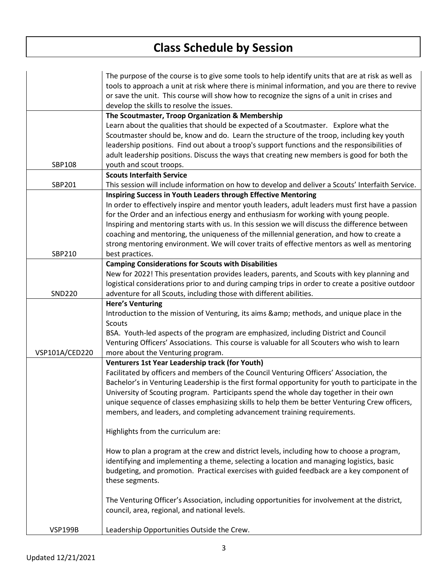|                | The purpose of the course is to give some tools to help identify units that are at risk as well as |
|----------------|----------------------------------------------------------------------------------------------------|
|                | tools to approach a unit at risk where there is minimal information, and you are there to revive   |
|                | or save the unit. This course will show how to recognize the signs of a unit in crises and         |
|                | develop the skills to resolve the issues.                                                          |
|                | The Scoutmaster, Troop Organization & Membership                                                   |
|                | Learn about the qualities that should be expected of a Scoutmaster. Explore what the               |
|                | Scoutmaster should be, know and do. Learn the structure of the troop, including key youth          |
|                | leadership positions. Find out about a troop's support functions and the responsibilities of       |
|                | adult leadership positions. Discuss the ways that creating new members is good for both the        |
| SBP108         | youth and scout troops.                                                                            |
|                | <b>Scouts Interfaith Service</b>                                                                   |
| SBP201         | This session will include information on how to develop and deliver a Scouts' Interfaith Service.  |
|                | Inspiring Success in Youth Leaders through Effective Mentoring                                     |
|                | In order to effectively inspire and mentor youth leaders, adult leaders must first have a passion  |
|                | for the Order and an infectious energy and enthusiasm for working with young people.               |
|                | Inspiring and mentoring starts with us. In this session we will discuss the difference between     |
|                | coaching and mentoring, the uniqueness of the millennial generation, and how to create a           |
|                | strong mentoring environment. We will cover traits of effective mentors as well as mentoring       |
| SBP210         | best practices.                                                                                    |
|                | <b>Camping Considerations for Scouts with Disabilities</b>                                         |
|                | New for 2022! This presentation provides leaders, parents, and Scouts with key planning and        |
|                | logistical considerations prior to and during camping trips in order to create a positive outdoor  |
| <b>SND220</b>  | adventure for all Scouts, including those with different abilities.                                |
|                | <b>Here's Venturing</b>                                                                            |
|                | Introduction to the mission of Venturing, its aims & methods, and unique place in the              |
|                | Scouts                                                                                             |
|                | BSA. Youth-led aspects of the program are emphasized, including District and Council               |
|                | Venturing Officers' Associations. This course is valuable for all Scouters who wish to learn       |
| VSP101A/CED220 | more about the Venturing program.                                                                  |
|                | Venturers 1st Year Leadership track (for Youth)                                                    |
|                | Facilitated by officers and members of the Council Venturing Officers' Association, the            |
|                | Bachelor's in Venturing Leadership is the first formal opportunity for youth to participate in the |
|                | University of Scouting program. Participants spend the whole day together in their own             |
|                | unique sequence of classes emphasizing skills to help them be better Venturing Crew officers,      |
|                | members, and leaders, and completing advancement training requirements.                            |
|                |                                                                                                    |
|                | Highlights from the curriculum are:                                                                |
|                |                                                                                                    |
|                | How to plan a program at the crew and district levels, including how to choose a program,          |
|                | identifying and implementing a theme, selecting a location and managing logistics, basic           |
|                | budgeting, and promotion. Practical exercises with guided feedback are a key component of          |
|                | these segments.                                                                                    |
|                |                                                                                                    |
|                | The Venturing Officer's Association, including opportunities for involvement at the district,      |
|                | council, area, regional, and national levels.                                                      |
|                |                                                                                                    |
| <b>VSP199B</b> | Leadership Opportunities Outside the Crew.                                                         |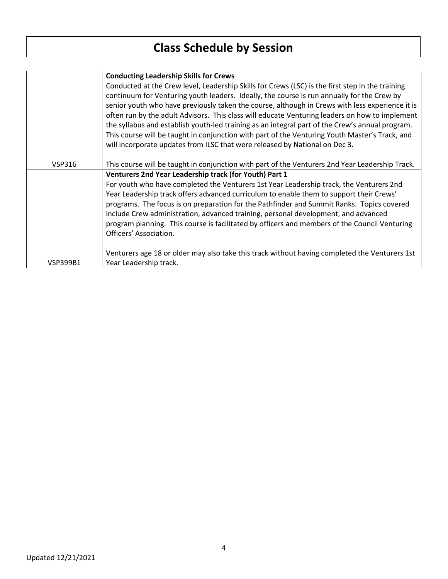$\overline{a}$ 

|               | <b>Conducting Leadership Skills for Crews</b>                                                    |
|---------------|--------------------------------------------------------------------------------------------------|
|               | Conducted at the Crew level, Leadership Skills for Crews (LSC) is the first step in the training |
|               | continuum for Venturing youth leaders. Ideally, the course is run annually for the Crew by       |
|               | senior youth who have previously taken the course, although in Crews with less experience it is  |
|               | often run by the adult Advisors. This class will educate Venturing leaders on how to implement   |
|               | the syllabus and establish youth-led training as an integral part of the Crew's annual program.  |
|               | This course will be taught in conjunction with part of the Venturing Youth Master's Track, and   |
|               | will incorporate updates from ILSC that were released by National on Dec 3.                      |
|               |                                                                                                  |
| <b>VSP316</b> | This course will be taught in conjunction with part of the Venturers 2nd Year Leadership Track.  |
|               | Venturers 2nd Year Leadership track (for Youth) Part 1                                           |
|               | For youth who have completed the Venturers 1st Year Leadership track, the Venturers 2nd          |
|               | Year Leadership track offers advanced curriculum to enable them to support their Crews'          |
|               | programs. The focus is on preparation for the Pathfinder and Summit Ranks. Topics covered        |
|               |                                                                                                  |
|               | include Crew administration, advanced training, personal development, and advanced               |
|               | program planning. This course is facilitated by officers and members of the Council Venturing    |
|               | Officers' Association.                                                                           |
|               |                                                                                                  |
|               | Venturers age 18 or older may also take this track without having completed the Venturers 1st    |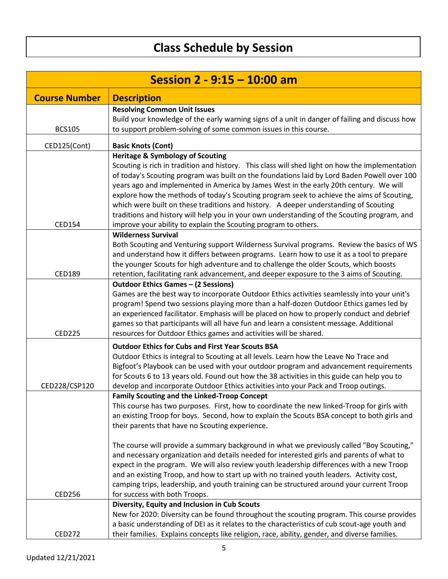| Session 2 - 9:15 - 10:00 am |                                                                                                                                                                                      |
|-----------------------------|--------------------------------------------------------------------------------------------------------------------------------------------------------------------------------------|
| <b>Course Number</b>        | <b>Description</b>                                                                                                                                                                   |
|                             | <b>Resolving Common Unit Issues</b>                                                                                                                                                  |
|                             | Build your knowledge of the early warning signs of a unit in danger of failing and discuss how                                                                                       |
| <b>BCS105</b>               | to support problem-solving of some common issues in this course.                                                                                                                     |
| CED125(Cont)                | <b>Basic Knots (Cont)</b>                                                                                                                                                            |
|                             | <b>Heritage &amp; Symbology of Scouting</b>                                                                                                                                          |
|                             | Scouting is rich in tradition and history. This class will shed light on how the implementation                                                                                      |
|                             | of today's Scouting program was built on the foundations laid by Lord Baden Powell over 100<br>years ago and implemented in America by James West in the early 20th century. We will |
|                             | explore how the methods of today's Scouting program seek to achieve the aims of Scouting,                                                                                            |
|                             | which were built on these traditions and history. A deeper understanding of Scouting                                                                                                 |
|                             | traditions and history will help you in your own understanding of the Scouting program, and                                                                                          |
| <b>CED154</b>               | improve your ability to explain the Scouting program to others.                                                                                                                      |
|                             | <b>Wilderness Survival</b>                                                                                                                                                           |
|                             | Both Scouting and Venturing support Wilderness Survival programs. Review the basics of WS                                                                                            |
|                             | and understand how it differs between programs. Learn how to use it as a tool to prepare<br>the younger Scouts for high adventure and to challenge the older Scouts, which boosts    |
| <b>CED189</b>               | retention, facilitating rank advancement, and deeper exposure to the 3 aims of Scouting.                                                                                             |
|                             | <b>Outdoor Ethics Games - (2 Sessions)</b>                                                                                                                                           |
|                             | Games are the best way to incorporate Outdoor Ethics activities seamlessly into your unit's                                                                                          |
|                             | program! Spend two sessions playing more than a half-dozen Outdoor Ethics games led by                                                                                               |
|                             | an experienced facilitator. Emphasis will be placed on how to properly conduct and debrief                                                                                           |
| <b>CED225</b>               | games so that participants will all have fun and learn a consistent message. Additional<br>resources for Outdoor Ethics games and activities will be shared.                         |
|                             | <b>Outdoor Ethics for Cubs and First Year Scouts BSA</b>                                                                                                                             |
|                             | Outdoor Ethics is integral to Scouting at all levels. Learn how the Leave No Trace and                                                                                               |
|                             | Bigfoot's Playbook can be used with your outdoor program and advancement requirements                                                                                                |
|                             | for Scouts 6 to 13 years old. Found out how the 38 activities in this guide can help you to                                                                                          |
| CED228/CSP120               | develop and incorporate Outdoor Ethics activities into your Pack and Troop outings.                                                                                                  |
|                             | <b>Family Scouting and the Linked-Troop Concept</b>                                                                                                                                  |
|                             | This course has two purposes. First, how to coordinate the new linked-Troop for girls with                                                                                           |
|                             | an existing Troop for boys. Second, how to explain the Scouts BSA concept to both girls and<br>their parents that have no Scouting experience.                                       |
|                             |                                                                                                                                                                                      |
|                             | The course will provide a summary background in what we previously called "Boy Scouting,"                                                                                            |
|                             | and necessary organization and details needed for interested girls and parents of what to                                                                                            |
|                             | expect in the program. We will also review youth leadership differences with a new Troop                                                                                             |
|                             | and an existing Troop, and how to start up with no trained youth leaders. Activity cost,                                                                                             |
| <b>CED256</b>               | camping trips, leadership, and youth training can be structured around your current Troop<br>for success with both Troops.                                                           |
|                             | Diversity, Equity and Inclusion in Cub Scouts                                                                                                                                        |
|                             | New for 2020: Diversity can be found throughout the scouting program. This course provides                                                                                           |
|                             | a basic understanding of DEI as it relates to the characteristics of cub scout-age youth and                                                                                         |
| <b>CED272</b>               | their families. Explains concepts like religion, race, ability, gender, and diverse families.                                                                                        |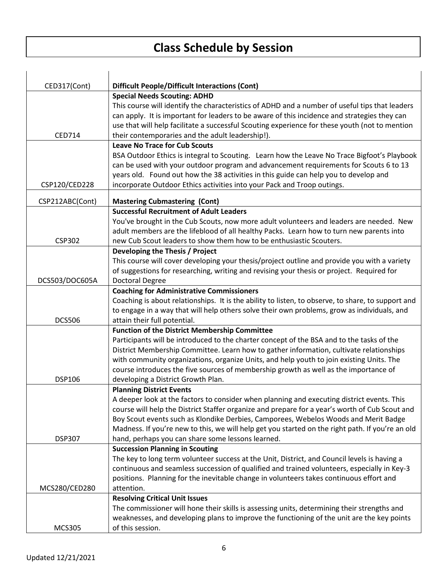| CED317(Cont)    | <b>Difficult People/Difficult Interactions (Cont)</b>                                              |
|-----------------|----------------------------------------------------------------------------------------------------|
|                 | <b>Special Needs Scouting: ADHD</b>                                                                |
|                 | This course will identify the characteristics of ADHD and a number of useful tips that leaders     |
|                 | can apply. It is important for leaders to be aware of this incidence and strategies they can       |
|                 | use that will help facilitate a successful Scouting experience for these youth (not to mention     |
| <b>CED714</b>   | their contemporaries and the adult leadership!).                                                   |
|                 | <b>Leave No Trace for Cub Scouts</b>                                                               |
|                 | BSA Outdoor Ethics is integral to Scouting. Learn how the Leave No Trace Bigfoot's Playbook        |
|                 | can be used with your outdoor program and advancement requirements for Scouts 6 to 13              |
|                 | years old. Found out how the 38 activities in this guide can help you to develop and               |
| CSP120/CED228   | incorporate Outdoor Ethics activities into your Pack and Troop outings.                            |
| CSP212ABC(Cont) | <b>Mastering Cubmastering (Cont)</b>                                                               |
|                 | <b>Successful Recruitment of Adult Leaders</b>                                                     |
|                 | You've brought in the Cub Scouts, now more adult volunteers and leaders are needed. New            |
|                 | adult members are the lifeblood of all healthy Packs. Learn how to turn new parents into           |
| <b>CSP302</b>   | new Cub Scout leaders to show them how to be enthusiastic Scouters.                                |
|                 | Developing the Thesis / Project                                                                    |
|                 | This course will cover developing your thesis/project outline and provide you with a variety       |
|                 | of suggestions for researching, writing and revising your thesis or project. Required for          |
| DCS503/DOC605A  | <b>Doctoral Degree</b>                                                                             |
|                 | <b>Coaching for Administrative Commissioners</b>                                                   |
|                 | Coaching is about relationships. It is the ability to listen, to observe, to share, to support and |
|                 | to engage in a way that will help others solve their own problems, grow as individuals, and        |
| <b>DCS506</b>   | attain their full potential.                                                                       |
|                 | <b>Function of the District Membership Committee</b>                                               |
|                 | Participants will be introduced to the charter concept of the BSA and to the tasks of the          |
|                 | District Membership Committee. Learn how to gather information, cultivate relationships            |
|                 | with community organizations, organize Units, and help youth to join existing Units. The           |
|                 | course introduces the five sources of membership growth as well as the importance of               |
| <b>DSP106</b>   | developing a District Growth Plan.                                                                 |
|                 | <b>Planning District Events</b>                                                                    |
|                 | A deeper look at the factors to consider when planning and executing district events. This         |
|                 | course will help the District Staffer organize and prepare for a year's worth of Cub Scout and     |
|                 | Boy Scout events such as Klondike Derbies, Camporees, Webelos Woods and Merit Badge                |
|                 | Madness. If you're new to this, we will help get you started on the right path. If you're an old   |
| <b>DSP307</b>   | hand, perhaps you can share some lessons learned.                                                  |
|                 | <b>Succession Planning in Scouting</b>                                                             |
|                 | The key to long term volunteer success at the Unit, District, and Council levels is having a       |
|                 | continuous and seamless succession of qualified and trained volunteers, especially in Key-3        |
|                 | positions. Planning for the inevitable change in volunteers takes continuous effort and            |
| MCS280/CED280   | attention.                                                                                         |
|                 | <b>Resolving Critical Unit Issues</b>                                                              |
|                 | The commissioner will hone their skills is assessing units, determining their strengths and        |
|                 | weaknesses, and developing plans to improve the functioning of the unit are the key points         |
| <b>MCS305</b>   | of this session.                                                                                   |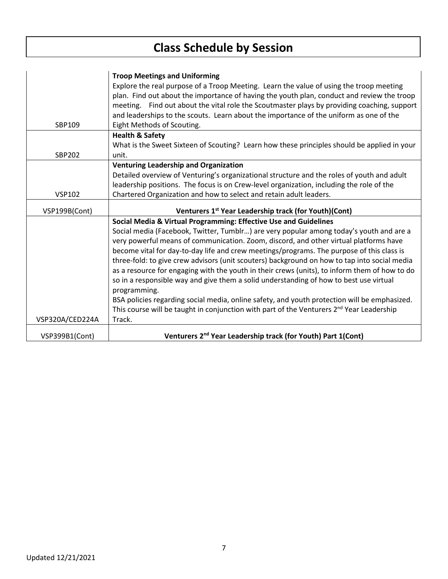|                 | <b>Troop Meetings and Uniforming</b>                                                                 |
|-----------------|------------------------------------------------------------------------------------------------------|
|                 | Explore the real purpose of a Troop Meeting. Learn the value of using the troop meeting              |
|                 | plan. Find out about the importance of having the youth plan, conduct and review the troop           |
|                 | meeting. Find out about the vital role the Scoutmaster plays by providing coaching, support          |
|                 | and leaderships to the scouts. Learn about the importance of the uniform as one of the               |
| SBP109          | Eight Methods of Scouting.                                                                           |
|                 | <b>Health &amp; Safety</b>                                                                           |
|                 | What is the Sweet Sixteen of Scouting? Learn how these principles should be applied in your          |
| <b>SBP202</b>   | unit.                                                                                                |
|                 | <b>Venturing Leadership and Organization</b>                                                         |
|                 | Detailed overview of Venturing's organizational structure and the roles of youth and adult           |
|                 | leadership positions. The focus is on Crew-level organization, including the role of the             |
| <b>VSP102</b>   | Chartered Organization and how to select and retain adult leaders.                                   |
|                 |                                                                                                      |
|                 |                                                                                                      |
| VSP199B(Cont)   | Venturers 1st Year Leadership track (for Youth)(Cont)                                                |
|                 | Social Media & Virtual Programming: Effective Use and Guidelines                                     |
|                 | Social media (Facebook, Twitter, Tumblr) are very popular among today's youth and are a              |
|                 | very powerful means of communication. Zoom, discord, and other virtual platforms have                |
|                 | become vital for day-to-day life and crew meetings/programs. The purpose of this class is            |
|                 | three-fold: to give crew advisors (unit scouters) background on how to tap into social media         |
|                 | as a resource for engaging with the youth in their crews (units), to inform them of how to do        |
|                 | so in a responsible way and give them a solid understanding of how to best use virtual               |
|                 | programming.                                                                                         |
|                 | BSA policies regarding social media, online safety, and youth protection will be emphasized.         |
|                 | This course will be taught in conjunction with part of the Venturers 2 <sup>nd</sup> Year Leadership |
| VSP320A/CED224A | Track.                                                                                               |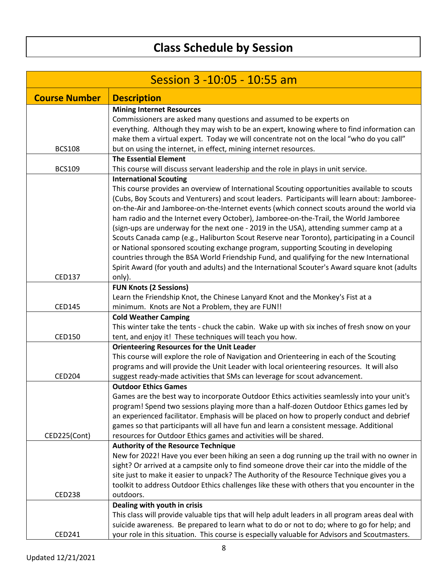| Session 3 -10:05 - 10:55 am |                                                                                                                 |
|-----------------------------|-----------------------------------------------------------------------------------------------------------------|
| <b>Course Number</b>        | <b>Description</b>                                                                                              |
|                             | <b>Mining Internet Resources</b>                                                                                |
|                             | Commissioners are asked many questions and assumed to be experts on                                             |
|                             | everything. Although they may wish to be an expert, knowing where to find information can                       |
|                             | make them a virtual expert. Today we will concentrate not on the local "who do you call"                        |
| <b>BCS108</b>               | but on using the internet, in effect, mining internet resources.                                                |
|                             | <b>The Essential Element</b>                                                                                    |
| <b>BCS109</b>               | This course will discuss servant leadership and the role in plays in unit service.                              |
|                             | <b>International Scouting</b>                                                                                   |
|                             | This course provides an overview of International Scouting opportunities available to scouts                    |
|                             | (Cubs, Boy Scouts and Venturers) and scout leaders. Participants will learn about: Jamboree-                    |
|                             | on-the-Air and Jamboree-on-the-Internet events (which connect scouts around the world via                       |
|                             | ham radio and the Internet every October), Jamboree-on-the-Trail, the World Jamboree                            |
|                             | (sign-ups are underway for the next one - 2019 in the USA), attending summer camp at a                          |
|                             | Scouts Canada camp (e.g., Haliburton Scout Reserve near Toronto), participating in a Council                    |
|                             | or National sponsored scouting exchange program, supporting Scouting in developing                              |
|                             | countries through the BSA World Friendship Fund, and qualifying for the new International                       |
|                             | Spirit Award (for youth and adults) and the International Scouter's Award square knot (adults                   |
| <b>CED137</b>               | only).                                                                                                          |
|                             | <b>FUN Knots (2 Sessions)</b>                                                                                   |
|                             | Learn the Friendship Knot, the Chinese Lanyard Knot and the Monkey's Fist at a                                  |
| <b>CED145</b>               | minimum. Knots are Not a Problem, they are FUN!!                                                                |
|                             | <b>Cold Weather Camping</b>                                                                                     |
|                             | This winter take the tents - chuck the cabin. Wake up with six inches of fresh snow on your                     |
| CED150                      | tent, and enjoy it! These techniques will teach you how.                                                        |
|                             | <b>Orienteering Resources for the Unit Leader</b>                                                               |
|                             | This course will explore the role of Navigation and Orienteering in each of the Scouting                        |
|                             | programs and will provide the Unit Leader with local orienteering resources. It will also                       |
| <b>CED204</b>               | suggest ready-made activities that SMs can leverage for scout advancement.                                      |
|                             | <b>Outdoor Ethics Games</b>                                                                                     |
|                             | Games are the best way to incorporate Outdoor Ethics activities seamlessly into your unit's                     |
|                             | program! Spend two sessions playing more than a half-dozen Outdoor Ethics games led by                          |
|                             | an experienced facilitator. Emphasis will be placed on how to properly conduct and debrief                      |
| CED225(Cont)                | games so that participants will all have fun and learn a consistent message. Additional                         |
|                             | resources for Outdoor Ethics games and activities will be shared.<br><b>Authority of the Resource Technique</b> |
|                             | New for 2022! Have you ever been hiking an seen a dog running up the trail with no owner in                     |
|                             | sight? Or arrived at a campsite only to find someone drove their car into the middle of the                     |
|                             | site just to make it easier to unpack? The Authority of the Resource Technique gives you a                      |
|                             | toolkit to address Outdoor Ethics challenges like these with others that you encounter in the                   |
| <b>CED238</b>               | outdoors.                                                                                                       |
|                             | Dealing with youth in crisis                                                                                    |
|                             | This class will provide valuable tips that will help adult leaders in all program areas deal with               |
|                             | suicide awareness. Be prepared to learn what to do or not to do; where to go for help; and                      |
| CED241                      | your role in this situation. This course is especially valuable for Advisors and Scoutmasters.                  |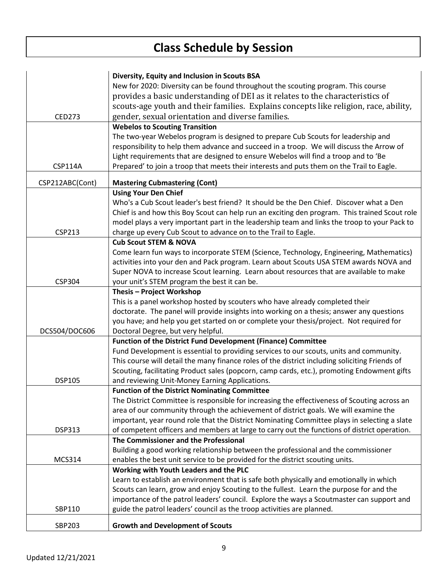|                 | Diversity, Equity and Inclusion in Scouts BSA                                                  |
|-----------------|------------------------------------------------------------------------------------------------|
|                 | New for 2020: Diversity can be found throughout the scouting program. This course              |
|                 | provides a basic understanding of DEI as it relates to the characteristics of                  |
|                 | scouts-age youth and their families. Explains concepts like religion, race, ability,           |
| <b>CED273</b>   | gender, sexual orientation and diverse families.                                               |
|                 | <b>Webelos to Scouting Transition</b>                                                          |
|                 | The two-year Webelos program is designed to prepare Cub Scouts for leadership and              |
|                 | responsibility to help them advance and succeed in a troop. We will discuss the Arrow of       |
|                 | Light requirements that are designed to ensure Webelos will find a troop and to 'Be            |
| <b>CSP114A</b>  | Prepared' to join a troop that meets their interests and puts them on the Trail to Eagle.      |
|                 |                                                                                                |
| CSP212ABC(Cont) | <b>Mastering Cubmastering (Cont)</b>                                                           |
|                 | <b>Using Your Den Chief</b>                                                                    |
|                 | Who's a Cub Scout leader's best friend? It should be the Den Chief. Discover what a Den        |
|                 | Chief is and how this Boy Scout can help run an exciting den program. This trained Scout role  |
|                 | model plays a very important part in the leadership team and links the troop to your Pack to   |
| <b>CSP213</b>   | charge up every Cub Scout to advance on to the Trail to Eagle.                                 |
|                 | <b>Cub Scout STEM &amp; NOVA</b>                                                               |
|                 | Come learn fun ways to incorporate STEM (Science, Technology, Engineering, Mathematics)        |
|                 | activities into your den and Pack program. Learn about Scouts USA STEM awards NOVA and         |
|                 | Super NOVA to increase Scout learning. Learn about resources that are available to make        |
| <b>CSP304</b>   | your unit's STEM program the best it can be.                                                   |
|                 | Thesis - Project Workshop                                                                      |
|                 | This is a panel workshop hosted by scouters who have already completed their                   |
|                 | doctorate. The panel will provide insights into working on a thesis; answer any questions      |
|                 | you have; and help you get started on or complete your thesis/project. Not required for        |
| DCS504/DOC606   | Doctoral Degree, but very helpful.                                                             |
|                 | Function of the District Fund Development (Finance) Committee                                  |
|                 | Fund Development is essential to providing services to our scouts, units and community.        |
|                 | This course will detail the many finance roles of the district including soliciting Friends of |
|                 | Scouting, facilitating Product sales (popcorn, camp cards, etc.), promoting Endowment gifts    |
| <b>DSP105</b>   | and reviewing Unit-Money Earning Applications.                                                 |
|                 | <b>Function of the District Nominating Committee</b>                                           |
|                 | The District Committee is responsible for increasing the effectiveness of Scouting across an   |
|                 | area of our community through the achievement of district goals. We will examine the           |
|                 | important, year round role that the District Nominating Committee plays in selecting a slate   |
| <b>DSP313</b>   | of competent officers and members at large to carry out the functions of district operation.   |
|                 | The Commissioner and the Professional                                                          |
|                 | Building a good working relationship between the professional and the commissioner             |
| <b>MCS314</b>   | enables the best unit service to be provided for the district scouting units.                  |
|                 | Working with Youth Leaders and the PLC                                                         |
|                 | Learn to establish an environment that is safe both physically and emotionally in which        |
|                 | Scouts can learn, grow and enjoy Scouting to the fullest. Learn the purpose for and the        |
|                 | importance of the patrol leaders' council. Explore the ways a Scoutmaster can support and      |
| SBP110          | guide the patrol leaders' council as the troop activities are planned.                         |
| SBP203          | <b>Growth and Development of Scouts</b>                                                        |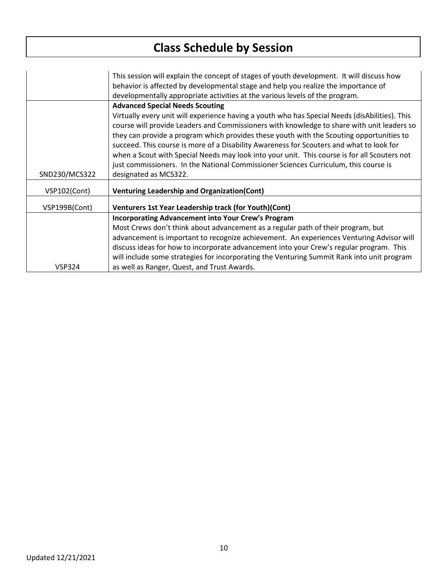|               | This session will explain the concept of stages of youth development. It will discuss how<br>behavior is affected by developmental stage and help you realize the importance of<br>developmentally appropriate activities at the various levels of the program.                                                                                                                                                                                                                                                                                                                                                                                 |
|---------------|-------------------------------------------------------------------------------------------------------------------------------------------------------------------------------------------------------------------------------------------------------------------------------------------------------------------------------------------------------------------------------------------------------------------------------------------------------------------------------------------------------------------------------------------------------------------------------------------------------------------------------------------------|
| SND230/MCS322 | <b>Advanced Special Needs Scouting</b><br>Virtually every unit will experience having a youth who has Special Needs (disAbilities). This<br>course will provide Leaders and Commissioners with knowledge to share with unit leaders so<br>they can provide a program which provides these youth with the Scouting opportunities to<br>succeed. This course is more of a Disability Awareness for Scouters and what to look for<br>when a Scout with Special Needs may look into your unit. This course is for all Scouters not<br>just commissioners. In the National Commissioner Sciences Curriculum, this course is<br>designated as MCS322. |
| VSP102(Cont)  | <b>Venturing Leadership and Organization(Cont)</b>                                                                                                                                                                                                                                                                                                                                                                                                                                                                                                                                                                                              |
| VSP199B(Cont) | Venturers 1st Year Leadership track (for Youth)(Cont)                                                                                                                                                                                                                                                                                                                                                                                                                                                                                                                                                                                           |
|               | <b>Incorporating Advancement into Your Crew's Program</b><br>Most Crews don't think about advancement as a regular path of their program, but<br>advancement is important to recognize achievement. An experiences Venturing Advisor will<br>discuss ideas for how to incorporate advancement into your Crew's regular program. This<br>will include some strategies for incorporating the Venturing Summit Rank into unit program                                                                                                                                                                                                              |
| <b>VSP324</b> | as well as Ranger, Quest, and Trust Awards.                                                                                                                                                                                                                                                                                                                                                                                                                                                                                                                                                                                                     |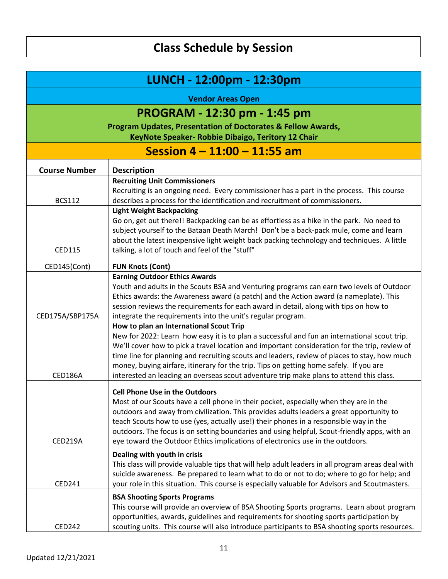| LUNCH - 12:00pm - 12:30pm                                                                                                                                     |                                                                                                                                                                                                                                                                                                                                                                                                                                                                                                |
|---------------------------------------------------------------------------------------------------------------------------------------------------------------|------------------------------------------------------------------------------------------------------------------------------------------------------------------------------------------------------------------------------------------------------------------------------------------------------------------------------------------------------------------------------------------------------------------------------------------------------------------------------------------------|
| <b>Vendor Areas Open</b>                                                                                                                                      |                                                                                                                                                                                                                                                                                                                                                                                                                                                                                                |
| PROGRAM - 12:30 pm - 1:45 pm<br><b>Program Updates, Presentation of Doctorates &amp; Fellow Awards,</b><br>KeyNote Speaker- Robbie Dibaigo, Teritory 12 Chair |                                                                                                                                                                                                                                                                                                                                                                                                                                                                                                |
|                                                                                                                                                               |                                                                                                                                                                                                                                                                                                                                                                                                                                                                                                |
| <b>Course Number</b>                                                                                                                                          | <b>Description</b>                                                                                                                                                                                                                                                                                                                                                                                                                                                                             |
| <b>BCS112</b>                                                                                                                                                 | <b>Recruiting Unit Commissioners</b><br>Recruiting is an ongoing need. Every commissioner has a part in the process. This course<br>describes a process for the identification and recruitment of commissioners.                                                                                                                                                                                                                                                                               |
| <b>CED115</b>                                                                                                                                                 | <b>Light Weight Backpacking</b><br>Go on, get out there!! Backpacking can be as effortless as a hike in the park. No need to<br>subject yourself to the Bataan Death March! Don't be a back-pack mule, come and learn<br>about the latest inexpensive light weight back packing technology and techniques. A little<br>talking, a lot of touch and feel of the "stuff"                                                                                                                         |
| CED145(Cont)                                                                                                                                                  | <b>FUN Knots (Cont)</b>                                                                                                                                                                                                                                                                                                                                                                                                                                                                        |
| CED175A/SBP175A                                                                                                                                               | <b>Earning Outdoor Ethics Awards</b><br>Youth and adults in the Scouts BSA and Venturing programs can earn two levels of Outdoor<br>Ethics awards: the Awareness award (a patch) and the Action award (a nameplate). This<br>session reviews the requirements for each award in detail, along with tips on how to<br>integrate the requirements into the unit's regular program.<br>How to plan an International Scout Trip                                                                    |
| <b>CED186A</b>                                                                                                                                                | New for 2022: Learn how easy it is to plan a successful and fun an international scout trip.<br>We'll cover how to pick a travel location and important consideration for the trip, review of<br>time line for planning and recruiting scouts and leaders, review of places to stay, how much<br>money, buying airfare, itinerary for the trip. Tips on getting home safely. If you are<br>interested an leading an overseas scout adventure trip make plans to attend this class.             |
| CED219A                                                                                                                                                       | Cell Phone Use in the Outdoors<br>Most of our Scouts have a cell phone in their pocket, especially when they are in the<br>outdoors and away from civilization. This provides adults leaders a great opportunity to<br>teach Scouts how to use (yes, actually use!) their phones in a responsible way in the<br>outdoors. The focus is on setting boundaries and using helpful, Scout-friendly apps, with an<br>eye toward the Outdoor Ethics implications of electronics use in the outdoors. |
| CED241                                                                                                                                                        | Dealing with youth in crisis<br>This class will provide valuable tips that will help adult leaders in all program areas deal with<br>suicide awareness. Be prepared to learn what to do or not to do; where to go for help; and<br>your role in this situation. This course is especially valuable for Advisors and Scoutmasters.                                                                                                                                                              |
| <b>CED242</b>                                                                                                                                                 | <b>BSA Shooting Sports Programs</b><br>This course will provide an overview of BSA Shooting Sports programs. Learn about program<br>opportunities, awards, guidelines and requirements for shooting sports participation by<br>scouting units. This course will also introduce participants to BSA shooting sports resources.                                                                                                                                                                  |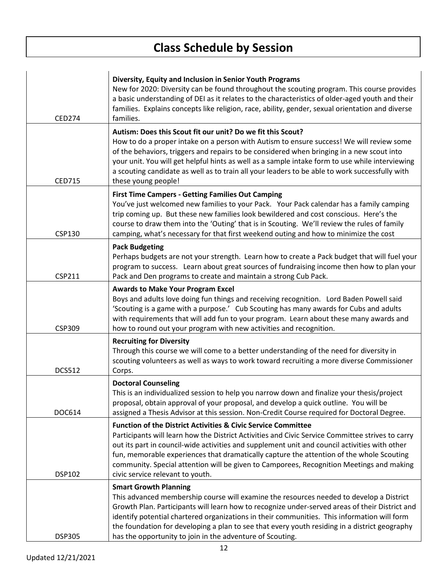$\mathbf{r}$ 

| <b>CED274</b> | Diversity, Equity and Inclusion in Senior Youth Programs<br>New for 2020: Diversity can be found throughout the scouting program. This course provides<br>a basic understanding of DEI as it relates to the characteristics of older-aged youth and their<br>families. Explains concepts like religion, race, ability, gender, sexual orientation and diverse<br>families.                                                                                                                                |
|---------------|-----------------------------------------------------------------------------------------------------------------------------------------------------------------------------------------------------------------------------------------------------------------------------------------------------------------------------------------------------------------------------------------------------------------------------------------------------------------------------------------------------------|
| <b>CED715</b> | Autism: Does this Scout fit our unit? Do we fit this Scout?<br>How to do a proper intake on a person with Autism to ensure success! We will review some<br>of the behaviors, triggers and repairs to be considered when bringing in a new scout into<br>your unit. You will get helpful hints as well as a sample intake form to use while interviewing<br>a scouting candidate as well as to train all your leaders to be able to work successfully with<br>these young people!                          |
| <b>CSP130</b> | <b>First Time Campers - Getting Families Out Camping</b><br>You've just welcomed new families to your Pack. Your Pack calendar has a family camping<br>trip coming up. But these new families look bewildered and cost conscious. Here's the<br>course to draw them into the 'Outing' that is in Scouting. We'll review the rules of family<br>camping, what's necessary for that first weekend outing and how to minimize the cost                                                                       |
| <b>CSP211</b> | <b>Pack Budgeting</b><br>Perhaps budgets are not your strength. Learn how to create a Pack budget that will fuel your<br>program to success. Learn about great sources of fundraising income then how to plan your<br>Pack and Den programs to create and maintain a strong Cub Pack.                                                                                                                                                                                                                     |
| <b>CSP309</b> | <b>Awards to Make Your Program Excel</b><br>Boys and adults love doing fun things and receiving recognition. Lord Baden Powell said<br>'Scouting is a game with a purpose.' Cub Scouting has many awards for Cubs and adults<br>with requirements that will add fun to your program. Learn about these many awards and<br>how to round out your program with new activities and recognition.                                                                                                              |
| <b>DCS512</b> | <b>Recruiting for Diversity</b><br>Through this course we will come to a better understanding of the need for diversity in<br>scouting volunteers as well as ways to work toward recruiting a more diverse Commissioner<br>Corps.                                                                                                                                                                                                                                                                         |
| DOC614        | <b>Doctoral Counseling</b><br>This is an individualized session to help you narrow down and finalize your thesis/project<br>proposal, obtain approval of your proposal, and develop a quick outline. You will be<br>assigned a Thesis Advisor at this session. Non-Credit Course required for Doctoral Degree.                                                                                                                                                                                            |
| <b>DSP102</b> | <b>Function of the District Activities &amp; Civic Service Committee</b><br>Participants will learn how the District Activities and Civic Service Committee strives to carry<br>out its part in council-wide activities and supplement unit and council activities with other<br>fun, memorable experiences that dramatically capture the attention of the whole Scouting<br>community. Special attention will be given to Camporees, Recognition Meetings and making<br>civic service relevant to youth. |
| <b>DSP305</b> | <b>Smart Growth Planning</b><br>This advanced membership course will examine the resources needed to develop a District<br>Growth Plan. Participants will learn how to recognize under-served areas of their District and<br>identify potential chartered organizations in their communities. This information will form<br>the foundation for developing a plan to see that every youth residing in a district geography<br>has the opportunity to join in the adventure of Scouting.                    |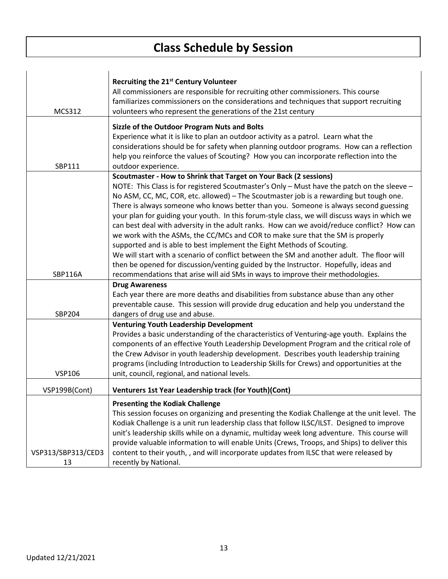|                    | Recruiting the 21 <sup>st</sup> Century Volunteer                                             |
|--------------------|-----------------------------------------------------------------------------------------------|
|                    | All commissioners are responsible for recruiting other commissioners. This course             |
|                    | familiarizes commissioners on the considerations and techniques that support recruiting       |
| <b>MCS312</b>      | volunteers who represent the generations of the 21st century                                  |
|                    | Sizzle of the Outdoor Program Nuts and Bolts                                                  |
|                    | Experience what it is like to plan an outdoor activity as a patrol. Learn what the            |
|                    | considerations should be for safety when planning outdoor programs. How can a reflection      |
|                    | help you reinforce the values of Scouting? How you can incorporate reflection into the        |
| SBP111             | outdoor experience.                                                                           |
|                    | Scoutmaster - How to Shrink that Target on Your Back (2 sessions)                             |
|                    | NOTE: This Class is for registered Scoutmaster's Only - Must have the patch on the sleeve -   |
|                    | No ASM, CC, MC, COR, etc. allowed) - The Scoutmaster job is a rewarding but tough one.        |
|                    | There is always someone who knows better than you. Someone is always second guessing          |
|                    | your plan for guiding your youth. In this forum-style class, we will discuss ways in which we |
|                    | can best deal with adversity in the adult ranks. How can we avoid/reduce conflict? How can    |
|                    | we work with the ASMs, the CC/MCs and COR to make sure that the SM is properly                |
|                    | supported and is able to best implement the Eight Methods of Scouting.                        |
|                    | We will start with a scenario of conflict between the SM and another adult. The floor will    |
|                    | then be opened for discussion/venting guided by the Instructor. Hopefully, ideas and          |
| SBP116A            | recommendations that arise will aid SMs in ways to improve their methodologies.               |
|                    | <b>Drug Awareness</b>                                                                         |
|                    | Each year there are more deaths and disabilities from substance abuse than any other          |
|                    | preventable cause. This session will provide drug education and help you understand the       |
| SBP204             | dangers of drug use and abuse.                                                                |
|                    | <b>Venturing Youth Leadership Development</b>                                                 |
|                    | Provides a basic understanding of the characteristics of Venturing-age youth. Explains the    |
|                    | components of an effective Youth Leadership Development Program and the critical role of      |
|                    | the Crew Advisor in youth leadership development. Describes youth leadership training         |
|                    | programs (including Introduction to Leadership Skills for Crews) and opportunities at the     |
| <b>VSP106</b>      | unit, council, regional, and national levels.                                                 |
| VSP199B(Cont)      | Venturers 1st Year Leadership track (for Youth)(Cont)                                         |
|                    | <b>Presenting the Kodiak Challenge</b>                                                        |
|                    | This session focuses on organizing and presenting the Kodiak Challenge at the unit level. The |
|                    | Kodiak Challenge is a unit run leadership class that follow ILSC/ILST. Designed to improve    |
|                    | unit's leadership skills while on a dynamic, multiday week long adventure. This course will   |
|                    | provide valuable information to will enable Units (Crews, Troops, and Ships) to deliver this  |
| VSP313/SBP313/CED3 | content to their youth, , and will incorporate updates from ILSC that were released by        |
| 13                 | recently by National.                                                                         |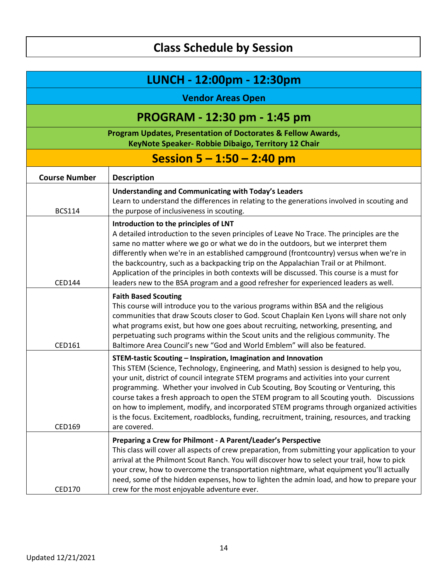| LUNCH - 12:00pm - 12:30pm |                                                                                                                                                                                                                                                                                                                                                                                                                                                                                                                                                                                                                                                       |  |
|---------------------------|-------------------------------------------------------------------------------------------------------------------------------------------------------------------------------------------------------------------------------------------------------------------------------------------------------------------------------------------------------------------------------------------------------------------------------------------------------------------------------------------------------------------------------------------------------------------------------------------------------------------------------------------------------|--|
|                           | <b>Vendor Areas Open</b>                                                                                                                                                                                                                                                                                                                                                                                                                                                                                                                                                                                                                              |  |
|                           | PROGRAM - 12:30 pm - 1:45 pm                                                                                                                                                                                                                                                                                                                                                                                                                                                                                                                                                                                                                          |  |
|                           | Program Updates, Presentation of Doctorates & Fellow Awards,<br>KeyNote Speaker- Robbie Dibaigo, Territory 12 Chair                                                                                                                                                                                                                                                                                                                                                                                                                                                                                                                                   |  |
|                           | Session $5 - 1:50 - 2:40$ pm                                                                                                                                                                                                                                                                                                                                                                                                                                                                                                                                                                                                                          |  |
| <b>Course Number</b>      | <b>Description</b>                                                                                                                                                                                                                                                                                                                                                                                                                                                                                                                                                                                                                                    |  |
| <b>BCS114</b>             | <b>Understanding and Communicating with Today's Leaders</b><br>Learn to understand the differences in relating to the generations involved in scouting and<br>the purpose of inclusiveness in scouting.                                                                                                                                                                                                                                                                                                                                                                                                                                               |  |
| <b>CED144</b>             | Introduction to the principles of LNT<br>A detailed introduction to the seven principles of Leave No Trace. The principles are the<br>same no matter where we go or what we do in the outdoors, but we interpret them<br>differently when we're in an established campground (frontcountry) versus when we're in<br>the backcountry, such as a backpacking trip on the Appalachian Trail or at Philmont.<br>Application of the principles in both contexts will be discussed. This course is a must for<br>leaders new to the BSA program and a good refresher for experienced leaders as well.                                                       |  |
| CED161                    | <b>Faith Based Scouting</b><br>This course will introduce you to the various programs within BSA and the religious<br>communities that draw Scouts closer to God. Scout Chaplain Ken Lyons will share not only<br>what programs exist, but how one goes about recruiting, networking, presenting, and<br>perpetuating such programs within the Scout units and the religious community. The<br>Baltimore Area Council's new "God and World Emblem" will also be featured.                                                                                                                                                                             |  |
| <b>CED169</b>             | STEM-tastic Scouting - Inspiration, Imagination and Innovation<br>This STEM (Science, Technology, Engineering, and Math) session is designed to help you,<br>your unit, district of council integrate STEM programs and activities into your current<br>programming. Whether your involved in Cub Scouting, Boy Scouting or Venturing, this<br>course takes a fresh approach to open the STEM program to all Scouting youth. Discussions<br>on how to implement, modify, and incorporated STEM programs through organized activities<br>is the focus. Excitement, roadblocks, funding, recruitment, training, resources, and tracking<br>are covered. |  |
| CED170                    | Preparing a Crew for Philmont - A Parent/Leader's Perspective<br>This class will cover all aspects of crew preparation, from submitting your application to your<br>arrival at the Philmont Scout Ranch. You will discover how to select your trail, how to pick<br>your crew, how to overcome the transportation nightmare, what equipment you'll actually<br>need, some of the hidden expenses, how to lighten the admin load, and how to prepare your<br>crew for the most enjoyable adventure ever.                                                                                                                                               |  |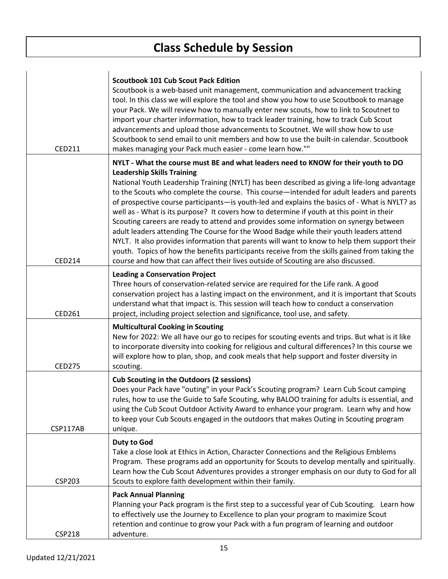$\overline{1}$ 

| <b>CED211</b> | <b>Scoutbook 101 Cub Scout Pack Edition</b><br>Scoutbook is a web-based unit management, communication and advancement tracking<br>tool. In this class we will explore the tool and show you how to use Scoutbook to manage<br>your Pack. We will review how to manually enter new scouts, how to link to Scoutnet to<br>import your charter information, how to track leader training, how to track Cub Scout<br>advancements and upload those advancements to Scoutnet. We will show how to use<br>Scoutbook to send email to unit members and how to use the built-in calendar. Scoutbook<br>makes managing your Pack much easier - come learn how.""                                                                                                                                                                                                                                                                                                                                     |
|---------------|----------------------------------------------------------------------------------------------------------------------------------------------------------------------------------------------------------------------------------------------------------------------------------------------------------------------------------------------------------------------------------------------------------------------------------------------------------------------------------------------------------------------------------------------------------------------------------------------------------------------------------------------------------------------------------------------------------------------------------------------------------------------------------------------------------------------------------------------------------------------------------------------------------------------------------------------------------------------------------------------|
| <b>CED214</b> | NYLT - What the course must BE and what leaders need to KNOW for their youth to DO<br><b>Leadership Skills Training</b><br>National Youth Leadership Training (NYLT) has been described as giving a life-long advantage<br>to the Scouts who complete the course. This course—intended for adult leaders and parents<br>of prospective course participants—is youth-led and explains the basics of - What is NYLT? as<br>well as - What is its purpose? It covers how to determine if youth at this point in their<br>Scouting careers are ready to attend and provides some information on synergy between<br>adult leaders attending The Course for the Wood Badge while their youth leaders attend<br>NYLT. It also provides information that parents will want to know to help them support their<br>youth. Topics of how the benefits participants receive from the skills gained from taking the<br>course and how that can affect their lives outside of Scouting are also discussed. |
| CED261        | <b>Leading a Conservation Project</b><br>Three hours of conservation-related service are required for the Life rank. A good<br>conservation project has a lasting impact on the environment, and it is important that Scouts<br>understand what that impact is. This session will teach how to conduct a conservation<br>project, including project selection and significance, tool use, and safety.                                                                                                                                                                                                                                                                                                                                                                                                                                                                                                                                                                                        |
| <b>CED275</b> | <b>Multicultural Cooking in Scouting</b><br>New for 2022: We all have our go to recipes for scouting events and trips. But what is it like<br>to incorporate diversity into cooking for religious and cultural differences? In this course we<br>will explore how to plan, shop, and cook meals that help support and foster diversity in<br>scouting.                                                                                                                                                                                                                                                                                                                                                                                                                                                                                                                                                                                                                                       |
| CSP117AB      | <b>Cub Scouting in the Outdoors (2 sessions)</b><br>Does your Pack have "outing" in your Pack's Scouting program? Learn Cub Scout camping<br>rules, how to use the Guide to Safe Scouting, why BALOO training for adults is essential, and<br>using the Cub Scout Outdoor Activity Award to enhance your program. Learn why and how<br>to keep your Cub Scouts engaged in the outdoors that makes Outing in Scouting program<br>unique.                                                                                                                                                                                                                                                                                                                                                                                                                                                                                                                                                      |
| <b>CSP203</b> | Duty to God<br>Take a close look at Ethics in Action, Character Connections and the Religious Emblems<br>Program. These programs add an opportunity for Scouts to develop mentally and spiritually.<br>Learn how the Cub Scout Adventures provides a stronger emphasis on our duty to God for all<br>Scouts to explore faith development within their family.                                                                                                                                                                                                                                                                                                                                                                                                                                                                                                                                                                                                                                |
| <b>CSP218</b> | <b>Pack Annual Planning</b><br>Planning your Pack program is the first step to a successful year of Cub Scouting. Learn how<br>to effectively use the Journey to Excellence to plan your program to maximize Scout<br>retention and continue to grow your Pack with a fun program of learning and outdoor<br>adventure.                                                                                                                                                                                                                                                                                                                                                                                                                                                                                                                                                                                                                                                                      |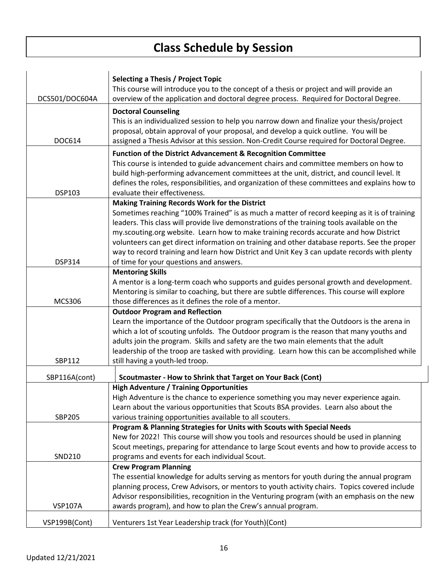|                | Selecting a Thesis / Project Topic                                                            |
|----------------|-----------------------------------------------------------------------------------------------|
|                | This course will introduce you to the concept of a thesis or project and will provide an      |
| DCS501/DOC604A | overview of the application and doctoral degree process. Required for Doctoral Degree.        |
|                |                                                                                               |
|                | <b>Doctoral Counseling</b>                                                                    |
|                | This is an individualized session to help you narrow down and finalize your thesis/project    |
|                | proposal, obtain approval of your proposal, and develop a quick outline. You will be          |
| DOC614         | assigned a Thesis Advisor at this session. Non-Credit Course required for Doctoral Degree.    |
|                | <b>Function of the District Advancement &amp; Recognition Committee</b>                       |
|                | This course is intended to guide advancement chairs and committee members on how to           |
|                | build high-performing advancement committees at the unit, district, and council level. It     |
|                | defines the roles, responsibilities, and organization of these committees and explains how to |
| DSP103         | evaluate their effectiveness.                                                                 |
|                | <b>Making Training Records Work for the District</b>                                          |
|                | Sometimes reaching "100% Trained" is as much a matter of record keeping as it is of training  |
|                | leaders. This class will provide live demonstrations of the training tools available on the   |
|                | my.scouting.org website. Learn how to make training records accurate and how District         |
|                | volunteers can get direct information on training and other database reports. See the proper  |
|                | way to record training and learn how District and Unit Key 3 can update records with plenty   |
| <b>DSP314</b>  | of time for your questions and answers.                                                       |
|                | <b>Mentoring Skills</b>                                                                       |
|                | A mentor is a long-term coach who supports and guides personal growth and development.        |
|                | Mentoring is similar to coaching, but there are subtle differences. This course will explore  |
| <b>MCS306</b>  | those differences as it defines the role of a mentor.                                         |
|                | <b>Outdoor Program and Reflection</b>                                                         |
|                | Learn the importance of the Outdoor program specifically that the Outdoors is the arena in    |
|                | which a lot of scouting unfolds. The Outdoor program is the reason that many youths and       |
|                | adults join the program. Skills and safety are the two main elements that the adult           |
|                | leadership of the troop are tasked with providing. Learn how this can be accomplished while   |
| SBP112         | still having a youth-led troop.                                                               |
|                |                                                                                               |
| SBP116A(cont)  | Scoutmaster - How to Shrink that Target on Your Back (Cont)                                   |
|                | <b>High Adventure / Training Opportunities</b>                                                |
|                | High Adventure is the chance to experience something you may never experience again.          |
|                | Learn about the various opportunities that Scouts BSA provides. Learn also about the          |
| SBP205         | various training opportunities available to all scouters.                                     |
|                | Program & Planning Strategies for Units with Scouts with Special Needs                        |
|                | New for 2022! This course will show you tools and resources should be used in planning        |
|                | Scout meetings, preparing for attendance to large Scout events and how to provide access to   |
| SND210         | programs and events for each individual Scout.                                                |
|                | <b>Crew Program Planning</b>                                                                  |
|                | The essential knowledge for adults serving as mentors for youth during the annual program     |
|                | planning process, Crew Advisors, or mentors to youth activity chairs. Topics covered include  |
|                | Advisor responsibilities, recognition in the Venturing program (with an emphasis on the new   |
| <b>VSP107A</b> | awards program), and how to plan the Crew's annual program.                                   |
| VSP199B(Cont)  | Venturers 1st Year Leadership track (for Youth)(Cont)                                         |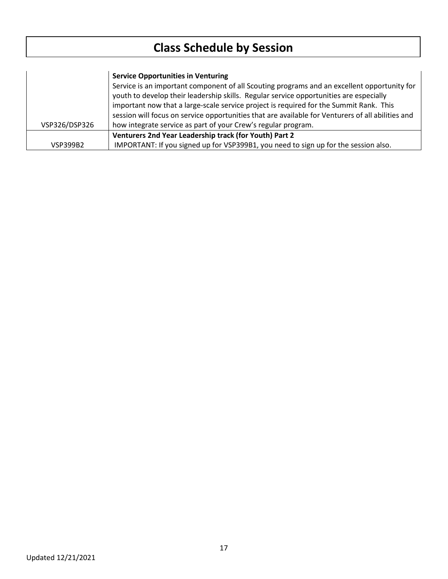|                 | <b>Service Opportunities in Venturing</b>                                                                                                                                             |
|-----------------|---------------------------------------------------------------------------------------------------------------------------------------------------------------------------------------|
|                 | Service is an important component of all Scouting programs and an excellent opportunity for<br>youth to develop their leadership skills. Regular service opportunities are especially |
|                 | important now that a large-scale service project is required for the Summit Rank. This                                                                                                |
|                 | session will focus on service opportunities that are available for Venturers of all abilities and                                                                                     |
| VSP326/DSP326   | how integrate service as part of your Crew's regular program.                                                                                                                         |
|                 | Venturers 2nd Year Leadership track (for Youth) Part 2                                                                                                                                |
| <b>VSP399B2</b> | IMPORTANT: If you signed up for VSP399B1, you need to sign up for the session also.                                                                                                   |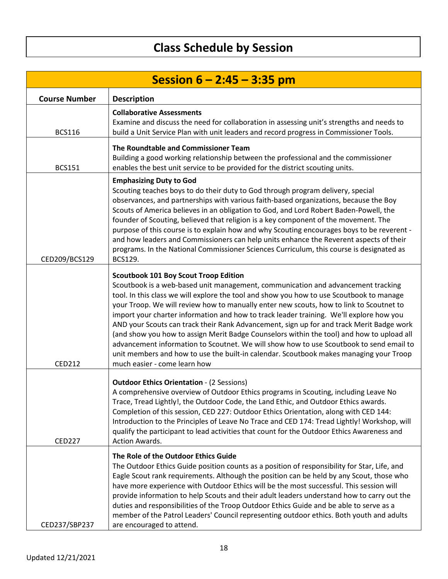| Session $6 - 2:45 - 3:35$ pm |                                                                                                                                                                                                                                                                                                                                                                                                                                                                                                                                                                                                                                                                                                                                                                                                                                  |
|------------------------------|----------------------------------------------------------------------------------------------------------------------------------------------------------------------------------------------------------------------------------------------------------------------------------------------------------------------------------------------------------------------------------------------------------------------------------------------------------------------------------------------------------------------------------------------------------------------------------------------------------------------------------------------------------------------------------------------------------------------------------------------------------------------------------------------------------------------------------|
| <b>Course Number</b>         | <b>Description</b>                                                                                                                                                                                                                                                                                                                                                                                                                                                                                                                                                                                                                                                                                                                                                                                                               |
| <b>BCS116</b>                | <b>Collaborative Assessments</b><br>Examine and discuss the need for collaboration in assessing unit's strengths and needs to<br>build a Unit Service Plan with unit leaders and record progress in Commissioner Tools.                                                                                                                                                                                                                                                                                                                                                                                                                                                                                                                                                                                                          |
| <b>BCS151</b>                | The Roundtable and Commissioner Team<br>Building a good working relationship between the professional and the commissioner<br>enables the best unit service to be provided for the district scouting units.                                                                                                                                                                                                                                                                                                                                                                                                                                                                                                                                                                                                                      |
| CED209/BCS129                | <b>Emphasizing Duty to God</b><br>Scouting teaches boys to do their duty to God through program delivery, special<br>observances, and partnerships with various faith-based organizations, because the Boy<br>Scouts of America believes in an obligation to God, and Lord Robert Baden-Powell, the<br>founder of Scouting, believed that religion is a key component of the movement. The<br>purpose of this course is to explain how and why Scouting encourages boys to be reverent -<br>and how leaders and Commissioners can help units enhance the Reverent aspects of their<br>programs. In the National Commissioner Sciences Curriculum, this course is designated as<br>BCS129.                                                                                                                                        |
| <b>CED212</b>                | <b>Scoutbook 101 Boy Scout Troop Edition</b><br>Scoutbook is a web-based unit management, communication and advancement tracking<br>tool. In this class we will explore the tool and show you how to use Scoutbook to manage<br>your Troop. We will review how to manually enter new scouts, how to link to Scoutnet to<br>import your charter information and how to track leader training. We'll explore how you<br>AND your Scouts can track their Rank Advancement, sign up for and track Merit Badge work<br>(and show you how to assign Merit Badge Counselors within the tool) and how to upload all<br>advancement information to Scoutnet. We will show how to use Scoutbook to send email to<br>unit members and how to use the built-in calendar. Scoutbook makes managing your Troop<br>much easier - come learn how |
| <b>CED227</b>                | <b>Outdoor Ethics Orientation - (2 Sessions)</b><br>A comprehensive overview of Outdoor Ethics programs in Scouting, including Leave No<br>Trace, Tread Lightly!, the Outdoor Code, the Land Ethic, and Outdoor Ethics awards.<br>Completion of this session, CED 227: Outdoor Ethics Orientation, along with CED 144:<br>Introduction to the Principles of Leave No Trace and CED 174: Tread Lightly! Workshop, will<br>qualify the participant to lead activities that count for the Outdoor Ethics Awareness and<br>Action Awards.                                                                                                                                                                                                                                                                                            |
| CED237/SBP237                | The Role of the Outdoor Ethics Guide<br>The Outdoor Ethics Guide position counts as a position of responsibility for Star, Life, and<br>Eagle Scout rank requirements. Although the position can be held by any Scout, those who<br>have more experience with Outdoor Ethics will be the most successful. This session will<br>provide information to help Scouts and their adult leaders understand how to carry out the<br>duties and responsibilities of the Troop Outdoor Ethics Guide and be able to serve as a<br>member of the Patrol Leaders' Council representing outdoor ethics. Both youth and adults<br>are encouraged to attend.                                                                                                                                                                                    |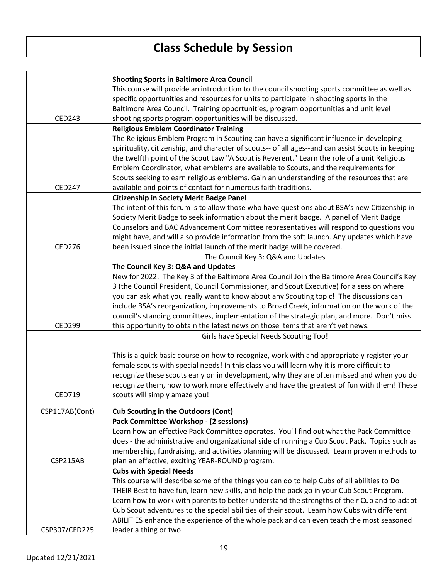|                | <b>Shooting Sports in Baltimore Area Council</b>                                                   |
|----------------|----------------------------------------------------------------------------------------------------|
|                | This course will provide an introduction to the council shooting sports committee as well as       |
|                | specific opportunities and resources for units to participate in shooting sports in the            |
|                | Baltimore Area Council. Training opportunities, program opportunities and unit level               |
| <b>CED243</b>  | shooting sports program opportunities will be discussed.                                           |
|                | <b>Religious Emblem Coordinator Training</b>                                                       |
|                | The Religious Emblem Program in Scouting can have a significant influence in developing            |
|                | spirituality, citizenship, and character of scouts-- of all ages--and can assist Scouts in keeping |
|                | the twelfth point of the Scout Law "A Scout is Reverent." Learn the role of a unit Religious       |
|                | Emblem Coordinator, what emblems are available to Scouts, and the requirements for                 |
|                | Scouts seeking to earn religious emblems. Gain an understanding of the resources that are          |
| <b>CED247</b>  | available and points of contact for numerous faith traditions.                                     |
|                | <b>Citizenship in Society Merit Badge Panel</b>                                                    |
|                | The intent of this forum is to allow those who have questions about BSA's new Citizenship in       |
|                | Society Merit Badge to seek information about the merit badge. A panel of Merit Badge              |
|                | Counselors and BAC Advancement Committee representatives will respond to questions you             |
|                | might have, and will also provide information from the soft launch. Any updates which have         |
| <b>CED276</b>  | been issued since the initial launch of the merit badge will be covered.                           |
|                | The Council Key 3: Q&A and Updates                                                                 |
|                | The Council Key 3: Q&A and Updates                                                                 |
|                | New for 2022: The Key 3 of the Baltimore Area Council Join the Baltimore Area Council's Key        |
|                | 3 (the Council President, Council Commissioner, and Scout Executive) for a session where           |
|                | you can ask what you really want to know about any Scouting topic! The discussions can             |
|                | include BSA's reorganization, improvements to Broad Creek, information on the work of the          |
|                | council's standing committees, implementation of the strategic plan, and more. Don't miss          |
| <b>CED299</b>  | this opportunity to obtain the latest news on those items that aren't yet news.                    |
|                | Girls have Special Needs Scouting Too!                                                             |
|                |                                                                                                    |
|                | This is a quick basic course on how to recognize, work with and appropriately register your        |
|                | female scouts with special needs! In this class you will learn why it is more difficult to         |
|                | recognize these scouts early on in development, why they are often missed and when you do          |
|                | recognize them, how to work more effectively and have the greatest of fun with them! These         |
| <b>CED719</b>  | scouts will simply amaze you!                                                                      |
|                |                                                                                                    |
| CSP117AB(Cont) | <b>Cub Scouting in the Outdoors (Cont)</b>                                                         |
|                | Pack Committee Workshop - (2 sessions)                                                             |
|                | Learn how an effective Pack Committee operates. You'll find out what the Pack Committee            |
|                | does - the administrative and organizational side of running a Cub Scout Pack. Topics such as      |
|                | membership, fundraising, and activities planning will be discussed. Learn proven methods to        |
| CSP215AB       | plan an effective, exciting YEAR-ROUND program.                                                    |
|                | <b>Cubs with Special Needs</b>                                                                     |
|                | This course will describe some of the things you can do to help Cubs of all abilities to Do        |
|                | THEIR Best to have fun, learn new skills, and help the pack go in your Cub Scout Program.          |
|                | Learn how to work with parents to better understand the strengths of their Cub and to adapt        |
|                | Cub Scout adventures to the special abilities of their scout. Learn how Cubs with different        |
|                | ABILITIES enhance the experience of the whole pack and can even teach the most seasoned            |
| CSP307/CED225  | leader a thing or two.                                                                             |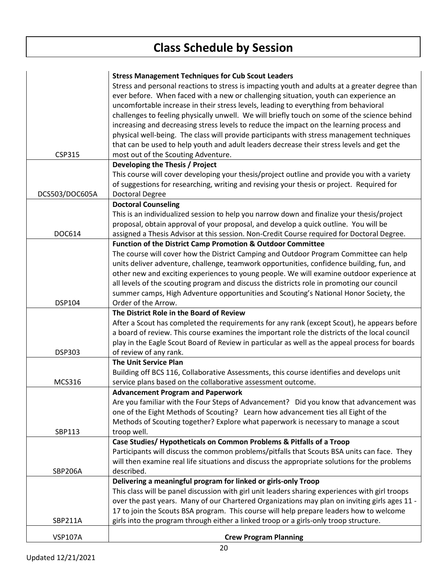|                | <b>Stress Management Techniques for Cub Scout Leaders</b>                                       |
|----------------|-------------------------------------------------------------------------------------------------|
|                | Stress and personal reactions to stress is impacting youth and adults at a greater degree than  |
|                | ever before. When faced with a new or challenging situation, youth can experience an            |
|                | uncomfortable increase in their stress levels, leading to everything from behavioral            |
|                | challenges to feeling physically unwell. We will briefly touch on some of the science behind    |
|                | increasing and decreasing stress levels to reduce the impact on the learning process and        |
|                | physical well-being. The class will provide participants with stress management techniques      |
|                |                                                                                                 |
|                | that can be used to help youth and adult leaders decrease their stress levels and get the       |
| <b>CSP315</b>  | most out of the Scouting Adventure.                                                             |
|                | Developing the Thesis / Project                                                                 |
|                | This course will cover developing your thesis/project outline and provide you with a variety    |
|                | of suggestions for researching, writing and revising your thesis or project. Required for       |
| DCS503/DOC605A | <b>Doctoral Degree</b>                                                                          |
|                | <b>Doctoral Counseling</b>                                                                      |
|                | This is an individualized session to help you narrow down and finalize your thesis/project      |
|                | proposal, obtain approval of your proposal, and develop a quick outline. You will be            |
| DOC614         | assigned a Thesis Advisor at this session. Non-Credit Course required for Doctoral Degree.      |
|                | <b>Function of the District Camp Promotion &amp; Outdoor Committee</b>                          |
|                | The course will cover how the District Camping and Outdoor Program Committee can help           |
|                | units deliver adventure, challenge, teamwork opportunities, confidence building, fun, and       |
|                | other new and exciting experiences to young people. We will examine outdoor experience at       |
|                | all levels of the scouting program and discuss the districts role in promoting our council      |
|                | summer camps, High Adventure opportunities and Scouting's National Honor Society, the           |
| DSP104         | Order of the Arrow.                                                                             |
|                | The District Role in the Board of Review                                                        |
|                | After a Scout has completed the requirements for any rank (except Scout), he appears before     |
|                | a board of review. This course examines the important role the districts of the local council   |
|                | play in the Eagle Scout Board of Review in particular as well as the appeal process for boards  |
| <b>DSP303</b>  | of review of any rank.                                                                          |
|                | <b>The Unit Service Plan</b>                                                                    |
|                | Building off BCS 116, Collaborative Assessments, this course identifies and develops unit       |
|                |                                                                                                 |
| <b>MCS316</b>  | service plans based on the collaborative assessment outcome.                                    |
|                | <b>Advancement Program and Paperwork</b>                                                        |
|                | Are you familiar with the Four Steps of Advancement? Did you know that advancement was          |
|                | one of the Eight Methods of Scouting? Learn how advancement ties all Eight of the               |
|                | Methods of Scouting together? Explore what paperwork is necessary to manage a scout             |
| SBP113         | troop well.                                                                                     |
|                | Case Studies/Hypotheticals on Common Problems & Pitfalls of a Troop                             |
|                | Participants will discuss the common problems/pitfalls that Scouts BSA units can face. They     |
|                | will then examine real life situations and discuss the appropriate solutions for the problems   |
| <b>SBP206A</b> | described.                                                                                      |
|                | Delivering a meaningful program for linked or girls-only Troop                                  |
|                | This class will be panel discussion with girl unit leaders sharing experiences with girl troops |
|                | over the past years. Many of our Chartered Organizations may plan on inviting girls ages 11 -   |
|                | 17 to join the Scouts BSA program. This course will help prepare leaders how to welcome         |
| SBP211A        | girls into the program through either a linked troop or a girls-only troop structure.           |
|                |                                                                                                 |
| <b>VSP107A</b> | <b>Crew Program Planning</b>                                                                    |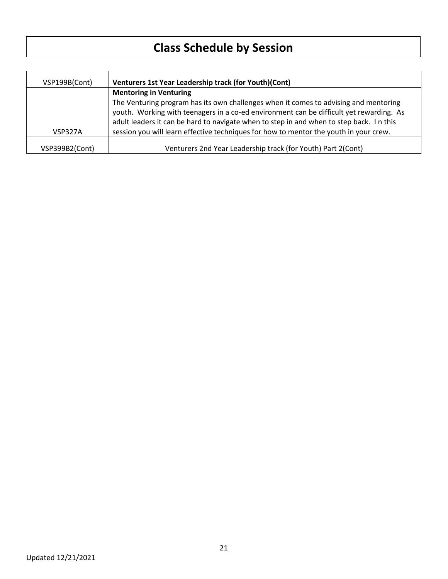| VSP199B(Cont)  | Venturers 1st Year Leadership track (for Youth)(Cont)                                   |
|----------------|-----------------------------------------------------------------------------------------|
|                | <b>Mentoring in Venturing</b>                                                           |
|                | The Venturing program has its own challenges when it comes to advising and mentoring    |
|                | youth. Working with teenagers in a co-ed environment can be difficult yet rewarding. As |
|                | adult leaders it can be hard to navigate when to step in and when to step back. In this |
| VSP327A        | session you will learn effective techniques for how to mentor the youth in your crew.   |
| VSP399B2(Cont) | Venturers 2nd Year Leadership track (for Youth) Part 2(Cont)                            |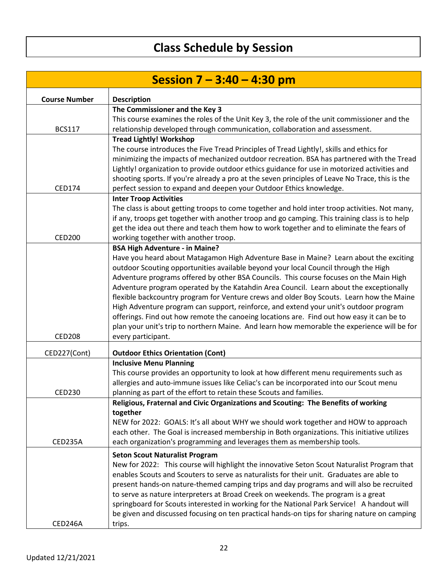| This course examines the roles of the Unit Key 3, the role of the unit commissioner and the                                                                                                |
|--------------------------------------------------------------------------------------------------------------------------------------------------------------------------------------------|
|                                                                                                                                                                                            |
|                                                                                                                                                                                            |
|                                                                                                                                                                                            |
| minimizing the impacts of mechanized outdoor recreation. BSA has partnered with the Tread                                                                                                  |
| Lightly! organization to provide outdoor ethics guidance for use in motorized activities and                                                                                               |
| shooting sports. If you're already a pro at the seven principles of Leave No Trace, this is the                                                                                            |
|                                                                                                                                                                                            |
|                                                                                                                                                                                            |
| The class is about getting troops to come together and hold inter troop activities. Not many,                                                                                              |
| if any, troops get together with another troop and go camping. This training class is to help                                                                                              |
| get the idea out there and teach them how to work together and to eliminate the fears of                                                                                                   |
|                                                                                                                                                                                            |
| Have you heard about Matagamon High Adventure Base in Maine? Learn about the exciting                                                                                                      |
|                                                                                                                                                                                            |
| Adventure programs offered by other BSA Councils. This course focuses on the Main High                                                                                                     |
| Adventure program operated by the Katahdin Area Council. Learn about the exceptionally                                                                                                     |
| flexible backcountry program for Venture crews and older Boy Scouts. Learn how the Maine                                                                                                   |
| High Adventure program can support, reinforce, and extend your unit's outdoor program                                                                                                      |
| offerings. Find out how remote the canoeing locations are. Find out how easy it can be to                                                                                                  |
| plan your unit's trip to northern Maine. And learn how memorable the experience will be for                                                                                                |
|                                                                                                                                                                                            |
|                                                                                                                                                                                            |
|                                                                                                                                                                                            |
| This course provides an opportunity to look at how different menu requirements such as                                                                                                     |
| allergies and auto-immune issues like Celiac's can be incorporated into our Scout menu                                                                                                     |
|                                                                                                                                                                                            |
|                                                                                                                                                                                            |
|                                                                                                                                                                                            |
| NEW for 2022: GOALS: It's all about WHY we should work together and HOW to approach                                                                                                        |
| each other. The Goal is increased membership in Both organizations. This initiative utilizes                                                                                               |
|                                                                                                                                                                                            |
|                                                                                                                                                                                            |
| New for 2022: This course will highlight the innovative Seton Scout Naturalist Program that                                                                                                |
| enables Scouts and Scouters to serve as naturalists for their unit. Graduates are able to                                                                                                  |
| present hands-on nature-themed camping trips and day programs and will also be recruited                                                                                                   |
|                                                                                                                                                                                            |
| springboard for Scouts interested in working for the National Park Service! A handout will<br>be given and discussed focusing on ten practical hands-on tips for sharing nature on camping |
|                                                                                                                                                                                            |
|                                                                                                                                                                                            |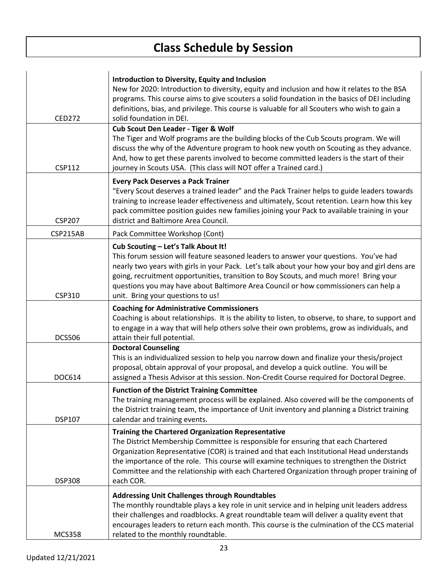$\overline{1}$ 

| <b>CED272</b> | Introduction to Diversity, Equity and Inclusion<br>New for 2020: Introduction to diversity, equity and inclusion and how it relates to the BSA<br>programs. This course aims to give scouters a solid foundation in the basics of DEI including<br>definitions, bias, and privilege. This course is valuable for all Scouters who wish to gain a<br>solid foundation in DEI.                                                                         |
|---------------|------------------------------------------------------------------------------------------------------------------------------------------------------------------------------------------------------------------------------------------------------------------------------------------------------------------------------------------------------------------------------------------------------------------------------------------------------|
| <b>CSP112</b> | Cub Scout Den Leader - Tiger & Wolf<br>The Tiger and Wolf programs are the building blocks of the Cub Scouts program. We will<br>discuss the why of the Adventure program to hook new youth on Scouting as they advance.<br>And, how to get these parents involved to become committed leaders is the start of their<br>journey in Scouts USA. (This class will NOT offer a Trained card.)                                                           |
| <b>CSP207</b> | <b>Every Pack Deserves a Pack Trainer</b><br>"Every Scout deserves a trained leader" and the Pack Trainer helps to guide leaders towards<br>training to increase leader effectiveness and ultimately, Scout retention. Learn how this key<br>pack committee position guides new families joining your Pack to available training in your<br>district and Baltimore Area Council.                                                                     |
| CSP215AB      | Pack Committee Workshop (Cont)                                                                                                                                                                                                                                                                                                                                                                                                                       |
| CSP310        | Cub Scouting - Let's Talk About It!<br>This forum session will feature seasoned leaders to answer your questions. You've had<br>nearly two years with girls in your Pack. Let's talk about your how your boy and girl dens are<br>going, recruitment opportunities, transition to Boy Scouts, and much more! Bring your<br>questions you may have about Baltimore Area Council or how commissioners can help a<br>unit. Bring your questions to us!  |
| <b>DCS506</b> | <b>Coaching for Administrative Commissioners</b><br>Coaching is about relationships. It is the ability to listen, to observe, to share, to support and<br>to engage in a way that will help others solve their own problems, grow as individuals, and<br>attain their full potential.                                                                                                                                                                |
| DOC614        | <b>Doctoral Counseling</b><br>This is an individualized session to help you narrow down and finalize your thesis/project<br>proposal, obtain approval of your proposal, and develop a quick outline. You will be<br>assigned a Thesis Advisor at this session. Non-Credit Course required for Doctoral Degree.                                                                                                                                       |
| <b>DSP107</b> | <b>Function of the District Training Committee</b><br>The training management process will be explained. Also covered will be the components of<br>the District training team, the importance of Unit inventory and planning a District training<br>calendar and training events.                                                                                                                                                                    |
| <b>DSP308</b> | <b>Training the Chartered Organization Representative</b><br>The District Membership Committee is responsible for ensuring that each Chartered<br>Organization Representative (COR) is trained and that each Institutional Head understands<br>the importance of the role. This course will examine techniques to strengthen the District<br>Committee and the relationship with each Chartered Organization through proper training of<br>each COR. |
| <b>MCS358</b> | <b>Addressing Unit Challenges through Roundtables</b><br>The monthly roundtable plays a key role in unit service and in helping unit leaders address<br>their challenges and roadblocks. A great roundtable team will deliver a quality event that<br>encourages leaders to return each month. This course is the culmination of the CCS material<br>related to the monthly roundtable.                                                              |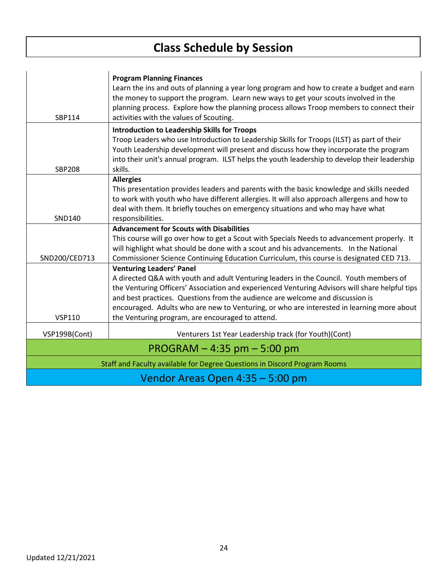| SBP114                           | <b>Program Planning Finances</b><br>Learn the ins and outs of planning a year long program and how to create a budget and earn<br>the money to support the program. Learn new ways to get your scouts involved in the<br>planning process. Explore how the planning process allows Troop members to connect their<br>activities with the values of Scouting.                                              |
|----------------------------------|-----------------------------------------------------------------------------------------------------------------------------------------------------------------------------------------------------------------------------------------------------------------------------------------------------------------------------------------------------------------------------------------------------------|
| <b>SBP208</b>                    | <b>Introduction to Leadership Skills for Troops</b><br>Troop Leaders who use Introduction to Leadership Skills for Troops (ILST) as part of their<br>Youth Leadership development will present and discuss how they incorporate the program<br>into their unit's annual program. ILST helps the youth leadership to develop their leadership<br>skills.                                                   |
|                                  | <b>Allergies</b><br>This presentation provides leaders and parents with the basic knowledge and skills needed<br>to work with youth who have different allergies. It will also approach allergens and how to                                                                                                                                                                                              |
| SND140                           | deal with them. It briefly touches on emergency situations and who may have what<br>responsibilities.                                                                                                                                                                                                                                                                                                     |
|                                  | <b>Advancement for Scouts with Disabilities</b><br>This course will go over how to get a Scout with Specials Needs to advancement properly. It<br>will highlight what should be done with a scout and his advancements. In the National                                                                                                                                                                   |
| SND200/CED713                    | Commissioner Science Continuing Education Curriculum, this course is designated CED 713.                                                                                                                                                                                                                                                                                                                  |
|                                  | <b>Venturing Leaders' Panel</b><br>A directed Q&A with youth and adult Venturing leaders in the Council. Youth members of<br>the Venturing Officers' Association and experienced Venturing Advisors will share helpful tips<br>and best practices. Questions from the audience are welcome and discussion is<br>encouraged. Adults who are new to Venturing, or who are interested in learning more about |
| <b>VSP110</b>                    | the Venturing program, are encouraged to attend.                                                                                                                                                                                                                                                                                                                                                          |
| VSP199B(Cont)                    | Venturers 1st Year Leadership track (for Youth)(Cont)                                                                                                                                                                                                                                                                                                                                                     |
|                                  | $PROGRAM - 4:35$ pm $- 5:00$ pm                                                                                                                                                                                                                                                                                                                                                                           |
|                                  | Staff and Faculty available for Degree Questions in Discord Program Rooms                                                                                                                                                                                                                                                                                                                                 |
| Vendor Areas Open 4:35 - 5:00 pm |                                                                                                                                                                                                                                                                                                                                                                                                           |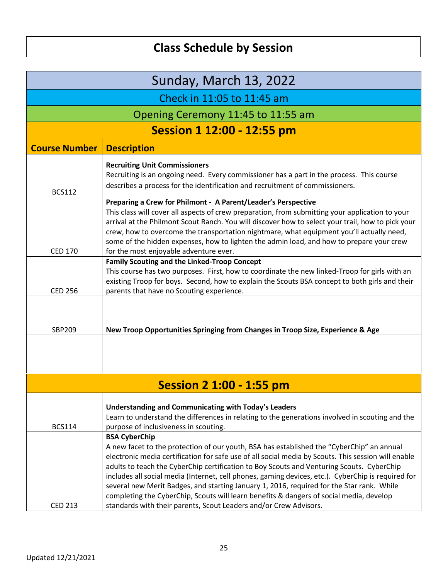| Sunday, March 13, 2022            |                                                                                                                                                                                                                                                                                                                                                                                                                                                                                                                                                                                                                                                                                          |  |
|-----------------------------------|------------------------------------------------------------------------------------------------------------------------------------------------------------------------------------------------------------------------------------------------------------------------------------------------------------------------------------------------------------------------------------------------------------------------------------------------------------------------------------------------------------------------------------------------------------------------------------------------------------------------------------------------------------------------------------------|--|
|                                   | Check in 11:05 to 11:45 am                                                                                                                                                                                                                                                                                                                                                                                                                                                                                                                                                                                                                                                               |  |
|                                   | Opening Ceremony 11:45 to 11:55 am                                                                                                                                                                                                                                                                                                                                                                                                                                                                                                                                                                                                                                                       |  |
| <b>Session 1 12:00 - 12:55 pm</b> |                                                                                                                                                                                                                                                                                                                                                                                                                                                                                                                                                                                                                                                                                          |  |
| <b>Course Number</b>              | <b>Description</b>                                                                                                                                                                                                                                                                                                                                                                                                                                                                                                                                                                                                                                                                       |  |
| <b>BCS112</b>                     | <b>Recruiting Unit Commissioners</b><br>Recruiting is an ongoing need. Every commissioner has a part in the process. This course<br>describes a process for the identification and recruitment of commissioners.                                                                                                                                                                                                                                                                                                                                                                                                                                                                         |  |
| <b>CED 170</b>                    | Preparing a Crew for Philmont - A Parent/Leader's Perspective<br>This class will cover all aspects of crew preparation, from submitting your application to your<br>arrival at the Philmont Scout Ranch. You will discover how to select your trail, how to pick your<br>crew, how to overcome the transportation nightmare, what equipment you'll actually need,<br>some of the hidden expenses, how to lighten the admin load, and how to prepare your crew                                                                                                                                                                                                                            |  |
| <b>CED 256</b>                    | for the most enjoyable adventure ever.<br><b>Family Scouting and the Linked-Troop Concept</b><br>This course has two purposes. First, how to coordinate the new linked-Troop for girls with an<br>existing Troop for boys. Second, how to explain the Scouts BSA concept to both girls and their<br>parents that have no Scouting experience.                                                                                                                                                                                                                                                                                                                                            |  |
| <b>SBP209</b>                     | New Troop Opportunities Springing from Changes in Troop Size, Experience & Age                                                                                                                                                                                                                                                                                                                                                                                                                                                                                                                                                                                                           |  |
| <b>Session 2 1:00 - 1:55 pm</b>   |                                                                                                                                                                                                                                                                                                                                                                                                                                                                                                                                                                                                                                                                                          |  |
| <b>BCS114</b>                     | Understanding and Communicating with Today's Leaders<br>Learn to understand the differences in relating to the generations involved in scouting and the<br>purpose of inclusiveness in scouting.                                                                                                                                                                                                                                                                                                                                                                                                                                                                                         |  |
| <b>CED 213</b>                    | <b>BSA CyberChip</b><br>A new facet to the protection of our youth, BSA has established the "CyberChip" an annual<br>electronic media certification for safe use of all social media by Scouts. This session will enable<br>adults to teach the CyberChip certification to Boy Scouts and Venturing Scouts. CyberChip<br>includes all social media (Internet, cell phones, gaming devices, etc.). CyberChip is required for<br>several new Merit Badges, and starting January 1, 2016, required for the Star rank. While<br>completing the CyberChip, Scouts will learn benefits & dangers of social media, develop<br>standards with their parents, Scout Leaders and/or Crew Advisors. |  |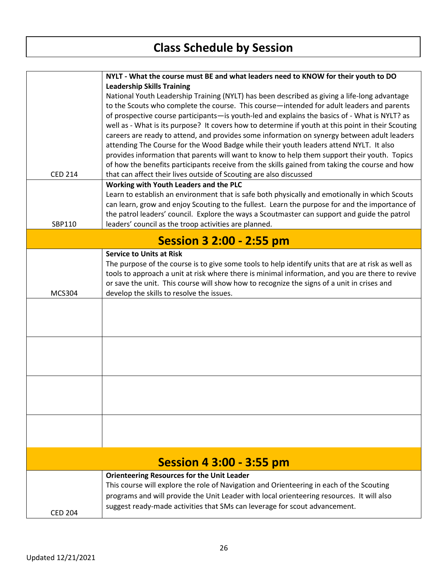|                                 | NYLT - What the course must BE and what leaders need to KNOW for their youth to DO                 |  |
|---------------------------------|----------------------------------------------------------------------------------------------------|--|
|                                 | <b>Leadership Skills Training</b>                                                                  |  |
|                                 | National Youth Leadership Training (NYLT) has been described as giving a life-long advantage       |  |
|                                 | to the Scouts who complete the course. This course—intended for adult leaders and parents          |  |
|                                 | of prospective course participants—is youth-led and explains the basics of - What is NYLT? as      |  |
|                                 | well as - What is its purpose? It covers how to determine if youth at this point in their Scouting |  |
|                                 | careers are ready to attend, and provides some information on synergy between adult leaders        |  |
|                                 | attending The Course for the Wood Badge while their youth leaders attend NYLT. It also             |  |
|                                 | provides information that parents will want to know to help them support their youth. Topics       |  |
|                                 | of how the benefits participants receive from the skills gained from taking the course and how     |  |
| <b>CED 214</b>                  | that can affect their lives outside of Scouting are also discussed                                 |  |
|                                 | Working with Youth Leaders and the PLC                                                             |  |
|                                 | Learn to establish an environment that is safe both physically and emotionally in which Scouts     |  |
|                                 | can learn, grow and enjoy Scouting to the fullest. Learn the purpose for and the importance of     |  |
|                                 | the patrol leaders' council. Explore the ways a Scoutmaster can support and guide the patrol       |  |
| SBP110                          | leaders' council as the troop activities are planned.                                              |  |
|                                 |                                                                                                    |  |
| <b>Session 3 2:00 - 2:55 pm</b> |                                                                                                    |  |
|                                 | <b>Service to Units at Risk</b>                                                                    |  |
|                                 | The purpose of the course is to give some tools to help identify units that are at risk as well as |  |
|                                 | tools to approach a unit at risk where there is minimal information, and you are there to revive   |  |
|                                 | or save the unit. This course will show how to recognize the signs of a unit in crises and         |  |
| <b>MCS304</b>                   | develop the skills to resolve the issues.                                                          |  |
|                                 |                                                                                                    |  |
|                                 |                                                                                                    |  |
|                                 |                                                                                                    |  |
|                                 |                                                                                                    |  |
|                                 |                                                                                                    |  |
|                                 |                                                                                                    |  |
|                                 |                                                                                                    |  |
|                                 |                                                                                                    |  |
|                                 |                                                                                                    |  |
|                                 |                                                                                                    |  |
|                                 |                                                                                                    |  |
|                                 |                                                                                                    |  |
|                                 |                                                                                                    |  |
|                                 |                                                                                                    |  |
| <b>Session 4 3:00 - 3:55 pm</b> |                                                                                                    |  |
|                                 | <b>Orienteering Resources for the Unit Leader</b>                                                  |  |
|                                 | This course will explore the role of Navigation and Orienteering in each of the Scouting           |  |
|                                 | programs and will provide the Unit Leader with local orienteering resources. It will also          |  |
|                                 | suggest ready-made activities that SMs can leverage for scout advancement.                         |  |
| <b>CED 204</b>                  |                                                                                                    |  |